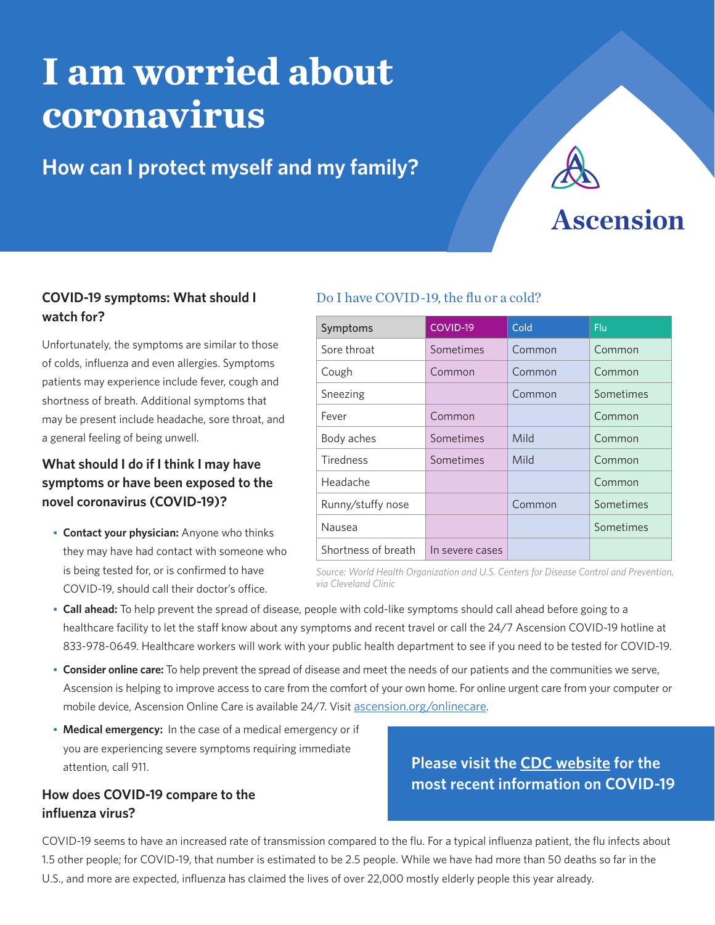# **I am worried about coronavirus**

### **How can I protect myself and my family?**



## **Ascension**

#### **COVID-19 symptoms: What should I watch for?**

Unfortunately, the symptoms are similar to those of colds, influenza and even allergies. Symptoms patients may experience include fever, cough and shortness of breath. Additional symptoms that may be present include headache, sore throat, and a general feeling of being unwell.

#### **What should I do if I think I may have symptoms or have been exposed to the novel coronavirus (COVID-19)?**

• **Contact your physician:** Anyone who thinks they may have had contact with someone who is being tested for, or is confirmed to have COVID-19, should call their doctor's office.

#### Do I have COVID-19, the flu or a cold?

| Symptoms            | COVID-19        | Cold   | Flu       |
|---------------------|-----------------|--------|-----------|
| Sore throat         | Sometimes       | Common | Common    |
| Cough               | Common          | Common | Common    |
| Sneezing            |                 | Common | Sometimes |
| Fever               | Common          |        | Common    |
| Body aches          | Sometimes       | Mild   | Common    |
| <b>Tiredness</b>    | Sometimes       | Mild   | Common    |
| Headache            |                 |        | Common    |
| Runny/stuffy nose   |                 | Common | Sometimes |
| Nausea              |                 |        | Sometimes |
| Shortness of breath | In severe cases |        |           |

*Source: World Health Organization and U.S. Centers for Disease Control and Prevention, via Cleveland Clinic*

- **Call ahead:** To help prevent the spread of disease, people with cold-like symptoms should call ahead before going to a healthcare facility to let the staff know about any symptoms and recent travel or call the 24/7 Ascension COVID-19 hotline at 833-978-0649. Healthcare workers will work with your public health department to see if you need to be tested for COVID-19.
- **Consider online care:** To help prevent the spread of disease and meet the needs of our patients and the communities we serve, Ascension is helping to improve access to care from the comfort of your own home. For online urgent care from your computer or mobile device, Ascension Online Care is available 24/7. Visit ascension.org/onlinecare.
- **Medical emergency:** In the case of a medical emergency or if you are experiencing severe symptoms requiring immediate attention, call 911.

#### **How does COVID-19 compare to the influenza virus?**

**Please visit the CDC website for the most recent information on COVID-19**

COVID-19 seems to have an increased rate of transmission compared to the flu. For a typical influenza patient, the flu infects about 1.5 other people; for COVID-19, that number is estimated to be 2.5 people. While we have had more than 50 deaths so far in the U.S., and more are expected, influenza has claimed the lives of over 22,000 mostly elderly people this year already.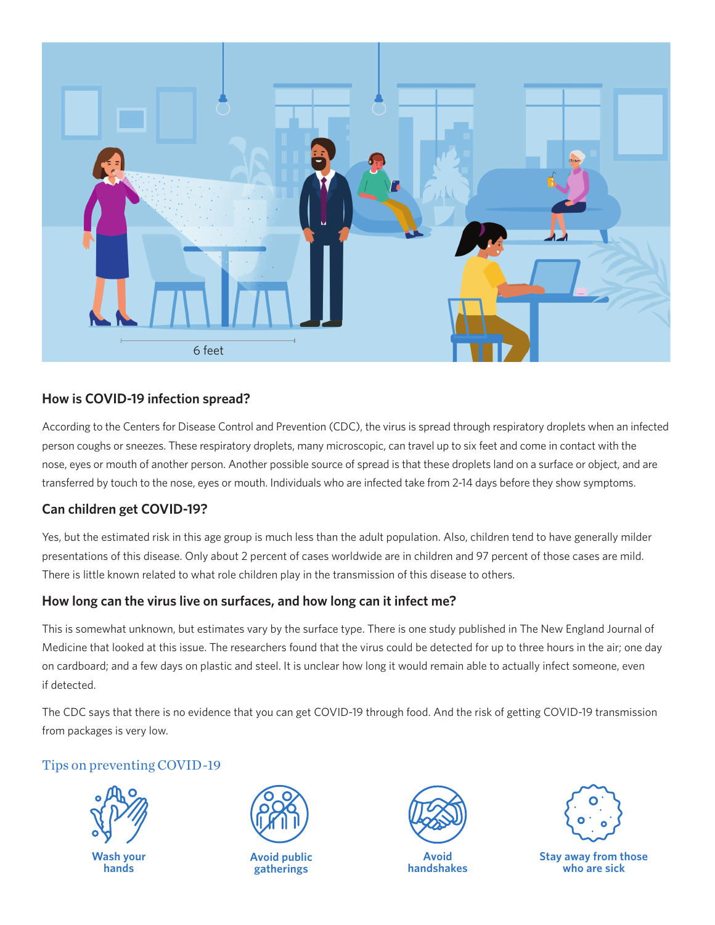

#### **How is COVID-19 infection spread?**

According to the Centers for Disease Control and Prevention (CDC), the virus is spread through respiratory droplets when an infected person coughs or sneezes. These respiratory droplets, many microscopic, can travel up to six feet and come in contact with the nose, eyes or mouth of another person. Another possible source of spread is that these droplets land on a surface or object, and are transferred by touch to the nose, eyes or mouth. Individuals who are infected take from 2-14 days before they show symptoms.

#### **Can children get COVID-19?**

Yes, but the estimated risk in this age group is much less than the adult population. Also, children tend to have generally milder presentations of this disease. Only about 2 percent of cases worldwide are in children and 97 percent of those cases are mild. There is little known related to what role children play in the transmission of this disease to others.

#### **How long can the virus live on surfaces, and how long can it infect me?**

This is somewhat unknown, but estimates vary by the surface type. There is one study published in The New England Journal of Medicine that looked at this issue. The researchers found that the virus could be detected for up to three hours in the air; one day on cardboard; and a few days on plastic and steel. It is unclear how long it would remain able to actually infect someone, even if detected.

The CDC says that there is no evidence that you can get COVID-19 through food. And the risk of getting COVID-19 transmission from packages is very low.

#### Tips on preventing COVID-19





**Avoid public gatherings**



**Avoid handshakes**



**Stay away from those who are sick**